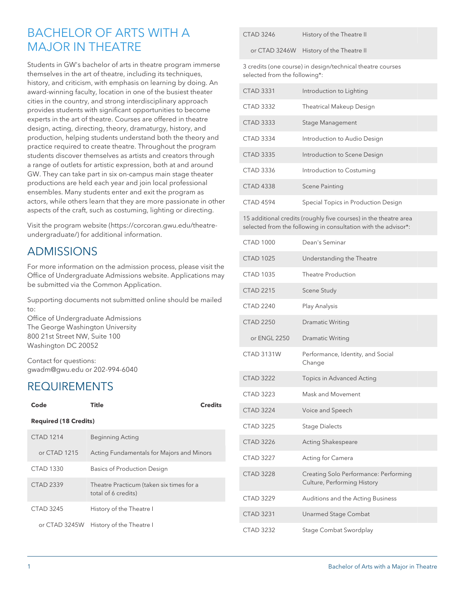# BACHELOR OF ARTS WITH A MAJOR IN THEATRE

Students in GW's bachelor of arts in theatre program immerse themselves in the art of theatre, including its techniques, history, and criticism, with emphasis on learning by doing. An award-winning faculty, location in one of the busiest theater cities in the country, and strong interdisciplinary approach provides students with significant opportunities to become experts in the art of theatre. Courses are offered in theatre design, acting, directing, theory, dramaturgy, history, and production, helping students understand both the theory and practice required to create theatre. Throughout the program students discover themselves as artists and creators through a range of outlets for artistic expression, both at and around GW. They can take part in six on-campus main stage theater productions are held each year and join local professional ensembles. Many students enter and exit the program as actors, while others learn that they are more passionate in other aspects of the craft, such as costuming, lighting or directing.

Visit the [program website](https://corcoran.gwu.edu/theatre-undergraduate/) ([https://corcoran.gwu.edu/theatre](https://corcoran.gwu.edu/theatre-undergraduate/)[undergraduate/](https://corcoran.gwu.edu/theatre-undergraduate/)) for additional information.

# ADMISSIONS

For more information on the admission process, please visit the Office of Undergraduate Admissions website. Applications may be submitted via the Common Application.

Supporting documents not submitted online should be mailed to:

Office of Undergraduate Admissions The George Washington University 800 21st Street NW, Suite 100 Washington DC 20052

Contact for questions: gwadm@gwu.edu or 202-994-6040

#### REQUIREMENTS

|  | Code                         | Title                                                           | Credits |  |
|--|------------------------------|-----------------------------------------------------------------|---------|--|
|  | <b>Required (18 Credits)</b> |                                                                 |         |  |
|  | CTAD 1214                    | <b>Beginning Acting</b>                                         |         |  |
|  | or $CTAD$ 1215               | Acting Fundamentals for Majors and Minors                       |         |  |
|  | CTAD 1330                    | <b>Basics of Production Design</b>                              |         |  |
|  | CTAD 2339                    | Theatre Practicum (taken six times for a<br>total of 6 credits) |         |  |
|  | CTAD 3245                    | History of the Theatre I                                        |         |  |
|  | or CTAD 3245W                | History of the Theatre I                                        |         |  |

| <b>CTAD 3246</b> | History of the Theatre II |
|------------------|---------------------------|
|------------------|---------------------------|

or CTAD 3246W History of the Theatre II

3 credits (one course) in design/technical theatre courses selected from the following\*:

| <b>CTAD 3331</b> | Introduction to Lighting            |
|------------------|-------------------------------------|
| CTAD 3332        | <b>Theatrical Makeup Design</b>     |
| CTAD 3333        | Stage Management                    |
| <b>CTAD 3334</b> | Introduction to Audio Design        |
| CTAD 3335        | Introduction to Scene Design        |
| CTAD 3336        | Introduction to Costuming           |
| <b>CTAD 4338</b> | Scene Painting                      |
| CTAD 4594        | Special Topics in Production Design |

15 additional credits (roughly five courses) in the theatre area selected from the following in consultation with the advisor\*:

| <b>CTAD 1000</b>  | Dean's Seminar                                                       |
|-------------------|----------------------------------------------------------------------|
| <b>CTAD 1025</b>  | Understanding the Theatre                                            |
| <b>CTAD 1035</b>  | Theatre Production                                                   |
| <b>CTAD 2215</b>  | Scene Study                                                          |
| <b>CTAD 2240</b>  | Play Analysis                                                        |
| <b>CTAD 2250</b>  | <b>Dramatic Writing</b>                                              |
| or ENGL 2250      | <b>Dramatic Writing</b>                                              |
| <b>CTAD 3131W</b> | Performance, Identity, and Social<br>Change                          |
| <b>CTAD 3222</b>  | Topics in Advanced Acting                                            |
| <b>CTAD 3223</b>  | Mask and Movement                                                    |
| <b>CTAD 3224</b>  | Voice and Speech                                                     |
| <b>CTAD 3225</b>  | <b>Stage Dialects</b>                                                |
| <b>CTAD 3226</b>  | Acting Shakespeare                                                   |
| <b>CTAD 3227</b>  | Acting for Camera                                                    |
| <b>CTAD 3228</b>  | Creating Solo Performance: Performing<br>Culture, Performing History |
| <b>CTAD 3229</b>  | Auditions and the Acting Business                                    |
| <b>CTAD 3231</b>  | <b>Unarmed Stage Combat</b>                                          |
| <b>CTAD 3232</b>  | Stage Combat Swordplay                                               |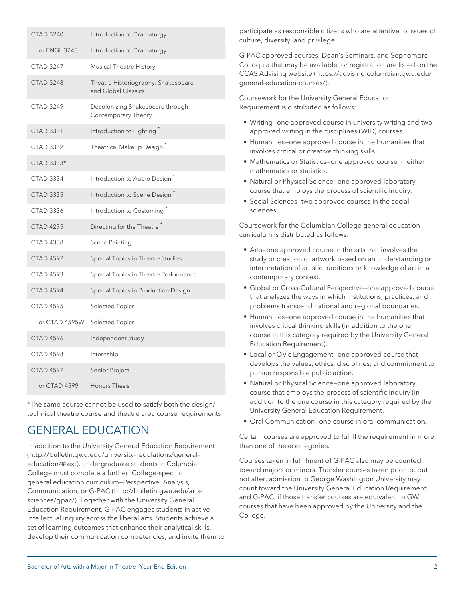| <b>CTAD 3240</b> | Introduction to Dramaturgy                                 |
|------------------|------------------------------------------------------------|
| or ENGL 3240     | Introduction to Dramaturgy                                 |
| <b>CTAD 3247</b> | <b>Musical Theatre History</b>                             |
| <b>CTAD 3248</b> | Theatre Historiography: Shakespeare<br>and Global Classics |
| <b>CTAD 3249</b> | Decolonizing Shakespeare through<br>Contemporary Theory    |
| <b>CTAD 3331</b> | Introduction to Lighting <sup>*</sup>                      |
| <b>CTAD 3332</b> | Theatrical Makeup Design <sup>*</sup>                      |
| CTAD 3333*       |                                                            |
| <b>CTAD 3334</b> | Introduction to Audio Design <sup>^</sup>                  |
| <b>CTAD 3335</b> | Introduction to Scene Design <sup>2</sup>                  |
| <b>CTAD 3336</b> | Introduction to Costuming <sup>*</sup>                     |
| <b>CTAD 4275</b> | Directing for the Theatre <sup>*</sup>                     |
| <b>CTAD 4338</b> | Scene Painting                                             |
| <b>CTAD 4592</b> | Special Topics in Theatre Studies                          |
| <b>CTAD 4593</b> | Special Topics in Theatre Performance                      |
| <b>CTAD 4594</b> | Special Topics in Production Design                        |
| <b>CTAD 4595</b> | <b>Selected Topics</b>                                     |
| or CTAD 4595W    | <b>Selected Topics</b>                                     |
| <b>CTAD 4596</b> | Independent Study                                          |
| <b>CTAD 4598</b> | Internship                                                 |
| <b>CTAD 4597</b> | Senior Project                                             |
| or CTAD 4599     | Honors Thesis                                              |

\*The same course cannot be used to satisfy both the design/ technical theatre course and theatre area course requirements.

# GENERAL EDUCATION

In addition to the [University General Education Requirement](http://bulletin.gwu.edu/university-regulations/general-education/#text) ([http://bulletin.gwu.edu/university-regulations/general](http://bulletin.gwu.edu/university-regulations/general-education/#text)[education/#text\)](http://bulletin.gwu.edu/university-regulations/general-education/#text), undergraduate students in Columbian College must complete a further, [College-specific](http://bulletin.gwu.edu/arts-sciences/gpac/) [general education curriculum—Perspective, Analysis,](http://bulletin.gwu.edu/arts-sciences/gpac/) [Communication, or G-PAC](http://bulletin.gwu.edu/arts-sciences/gpac/) [\(http://bulletin.gwu.edu/arts](http://bulletin.gwu.edu/arts-sciences/gpac/)[sciences/gpac/](http://bulletin.gwu.edu/arts-sciences/gpac/)). Together with the University General Education Requirement, G-PAC engages students in active intellectual inquiry across the liberal arts. Students achieve a set of learning outcomes that enhance their analytical skills, develop their communication competencies, and invite them to

participate as responsible citizens who are attentive to issues of culture, diversity, and privilege.

G-PAC approved courses, Dean's Seminars, and Sophomore Colloquia that may be available for registration are listed on the [CCAS Advising website \(https://advising.columbian.gwu.edu/](https://advising.columbian.gwu.edu/general-education-courses/) [general-education-courses/](https://advising.columbian.gwu.edu/general-education-courses/)).

Coursework for the University General Education Requirement is distributed as follows:

- Writing—one approved course in university writing and two approved writing in the disciplines (WID) courses.
- Humanities—one approved course in the humanities that involves critical or creative thinking skills.
- Mathematics or Statistics—one approved course in either mathematics or statistics.
- Natural or Physical Science—one approved laboratory course that employs the process of scientific inquiry.
- Social Sciences—two approved courses in the social sciences.

Coursework for the Columbian College general education curriculum is distributed as follows:

- Arts—one approved course in the arts that involves the study or creation of artwork based on an understanding or interpretation of artistic traditions or knowledge of art in a contemporary context.
- Global or Cross-Cultural Perspective—one approved course that analyzes the ways in which institutions, practices, and problems transcend national and regional boundaries.
- Humanities—one approved course in the humanities that involves critical thinking skills (in addition to the one course in this category required by the University General Education Requirement).
- Local or Civic Engagement—one approved course that develops the values, ethics, disciplines, and commitment to pursue responsible public action.
- Natural or Physical Science—one approved laboratory course that employs the process of scientific inquiry (in addition to the one course in this category required by the University General Education Requirement.
- Oral Communication—one course in oral communication.

Certain courses are approved to fulfill the requirement in more than one of these categories.

Courses taken in fulfillment of G-PAC also may be counted toward majors or minors. Transfer courses taken prior to, but not after, admission to George Washington University may count toward the University General Education Requirement and G-PAC, if those transfer courses are equivalent to GW courses that have been approved by the University and the College.